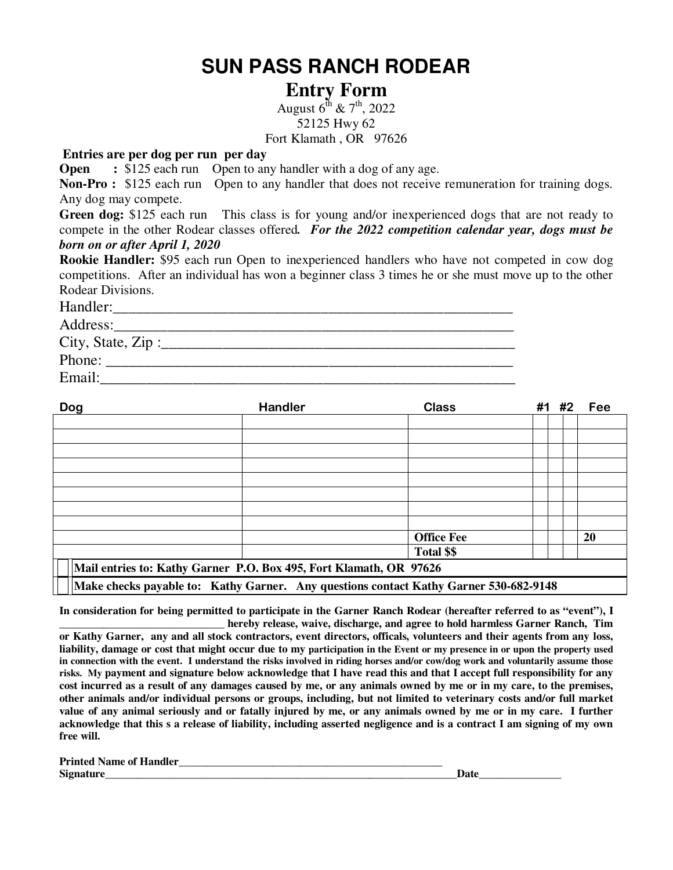## **SUN PASS RANCH RODEAR**

## **Entry Form**

August  $6^{th}$  &  $7^{th}$ , 2022 52125 Hwy 62

Fort Klamath , OR 97626

## **Entries are per dog per run per day**

**Open** : \$125 each run Open to any handler with a dog of any age.

**Non-Pro :** \$125 each run Open to any handler that does not receive remuneration for training dogs. Any dog may compete.

**Green dog:** \$125 each run This class is for young and/or inexperienced dogs that are not ready to compete in the other Rodear classes offered*. For the 2022 competition calendar year, dogs must be born on or after April 1, 2020* 

**Rookie Handler:** \$95 each run Open to inexperienced handlers who have not competed in cow dog competitions. After an individual has won a beginner class 3 times he or she must move up to the other Rodear Divisions.

| Handler:              |  |
|-----------------------|--|
| Address:              |  |
| City, State, Zip :___ |  |
| Phone:                |  |
| Email:                |  |

| Dog                                                                                   | <b>Handler</b> | <b>Class</b>      |  | #1 #2 | Fee |
|---------------------------------------------------------------------------------------|----------------|-------------------|--|-------|-----|
|                                                                                       |                |                   |  |       |     |
|                                                                                       |                |                   |  |       |     |
|                                                                                       |                |                   |  |       |     |
|                                                                                       |                |                   |  |       |     |
|                                                                                       |                |                   |  |       |     |
|                                                                                       |                |                   |  |       |     |
|                                                                                       |                |                   |  |       |     |
|                                                                                       |                |                   |  |       |     |
|                                                                                       |                | <b>Office Fee</b> |  |       | 20  |
|                                                                                       |                | Total \$\$        |  |       |     |
| Mail entries to: Kathy Garner P.O. Box 495, Fort Klamath, OR 97626                    |                |                   |  |       |     |
| Make checks payable to: Kathy Garner. Any questions contact Kathy Garner 530-682-9148 |                |                   |  |       |     |

**In consideration for being permitted to participate in the Garner Ranch Rodear (hereafter referred to as "event"), I** 

**\_\_\_\_\_\_\_\_\_\_\_\_\_\_\_\_\_\_\_\_\_\_\_\_\_\_\_\_\_\_ hereby release, waive, discharge, and agree to hold harmless Garner Ranch, Tim or Kathy Garner, any and all stock contractors, event directors, officals, volunteers and their agents from any loss, liability, damage or cost that might occur due to my participation in the Event or my presence in or upon the property used in connection with the event. I understand the risks involved in riding horses and/or cow/dog work and voluntarily assume those risks. My payment and signature below acknowledge that I have read this and that I accept full responsibility for any cost incurred as a result of any damages caused by me, or any animals owned by me or in my care, to the premises, other animals and/or individual persons or groups, including, but not limited to veterinary costs and/or full market value of any animal seriously and or fatally injured by me, or any animals owned by me or in my care. I further acknowledge that this s a release of liability, including asserted negligence and is a contract I am signing of my own free will.** 

| <b>Printed Name of Handler</b> |               |
|--------------------------------|---------------|
| Signatur                       | $\lambda - 4$ |